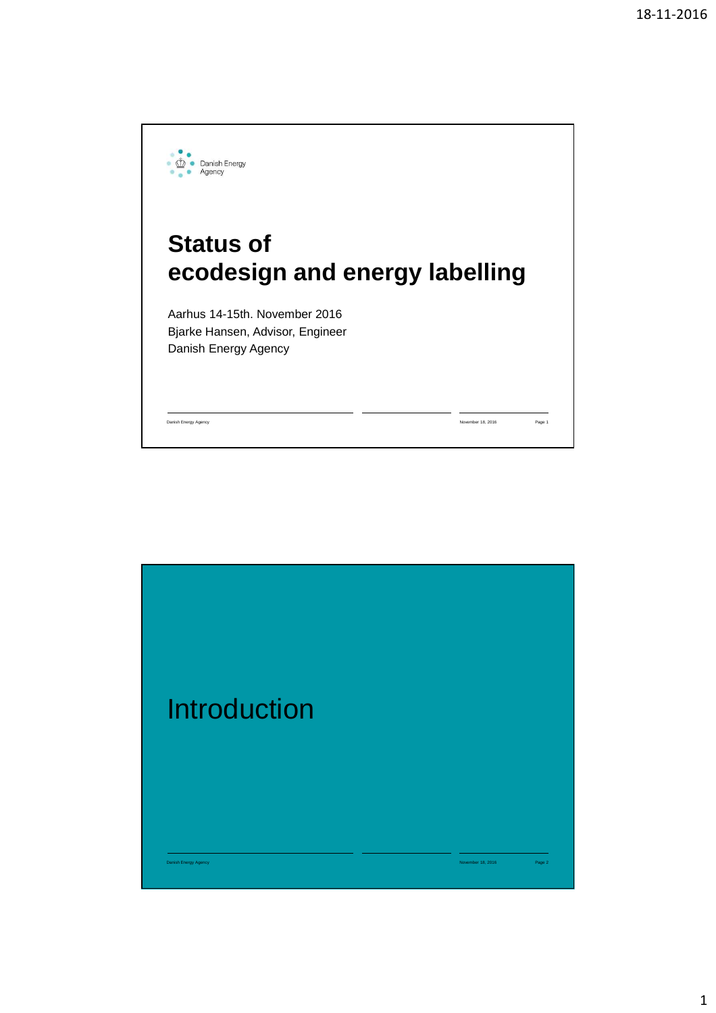

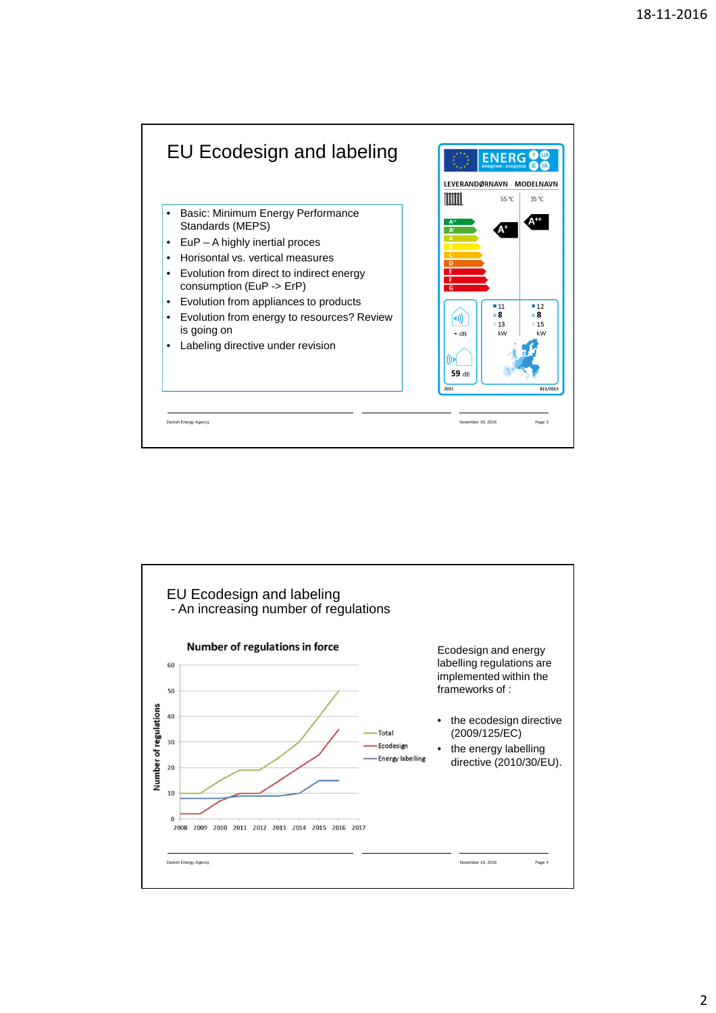

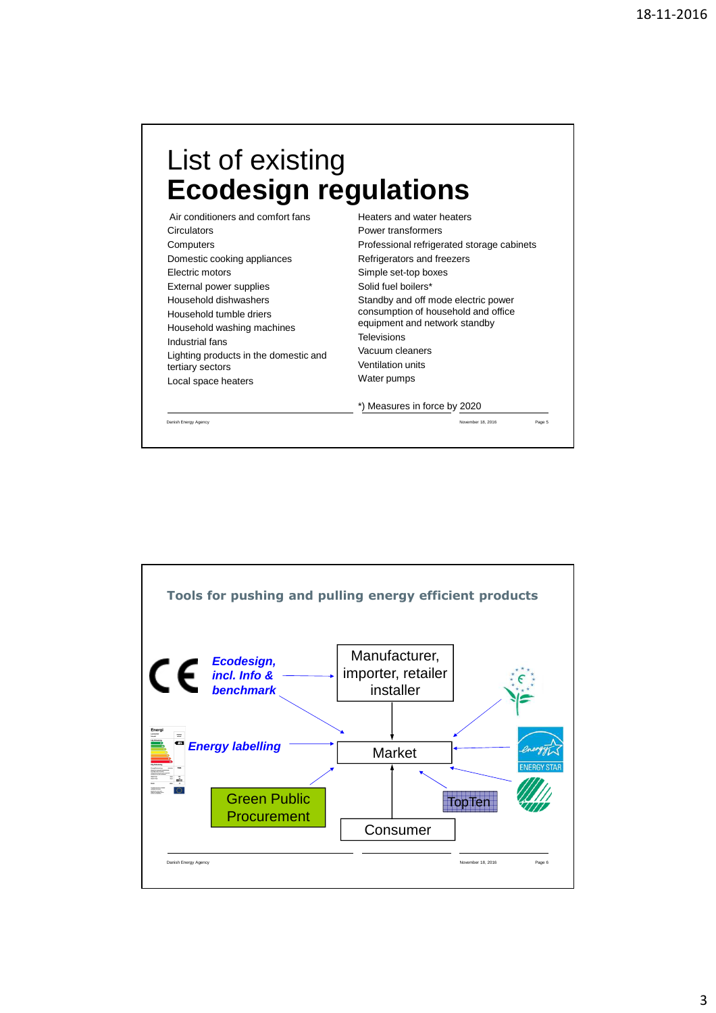## List of existing **Ecodesign regulations**

Air conditioners and comfort fans **Circulators** Computers Domestic cooking appliances Electric motors External power supplies Household dishwashers Household tumble driers Household washing machines Industrial fans Lighting products in the domestic and tertiary sectors Local space heaters

Heaters and water heaters Power transformers Professional refrigerated storage cabinets Refrigerators and freezers Simple set-top boxes Solid fuel boilers\* Standby and off mode electric power consumption of household and office equipment and network standby **Televisions** Vacuum cleaners Ventilation units Water pumps \*) Measures in force by 2020

Danish Energy Agency November 18, 2016 Page 5

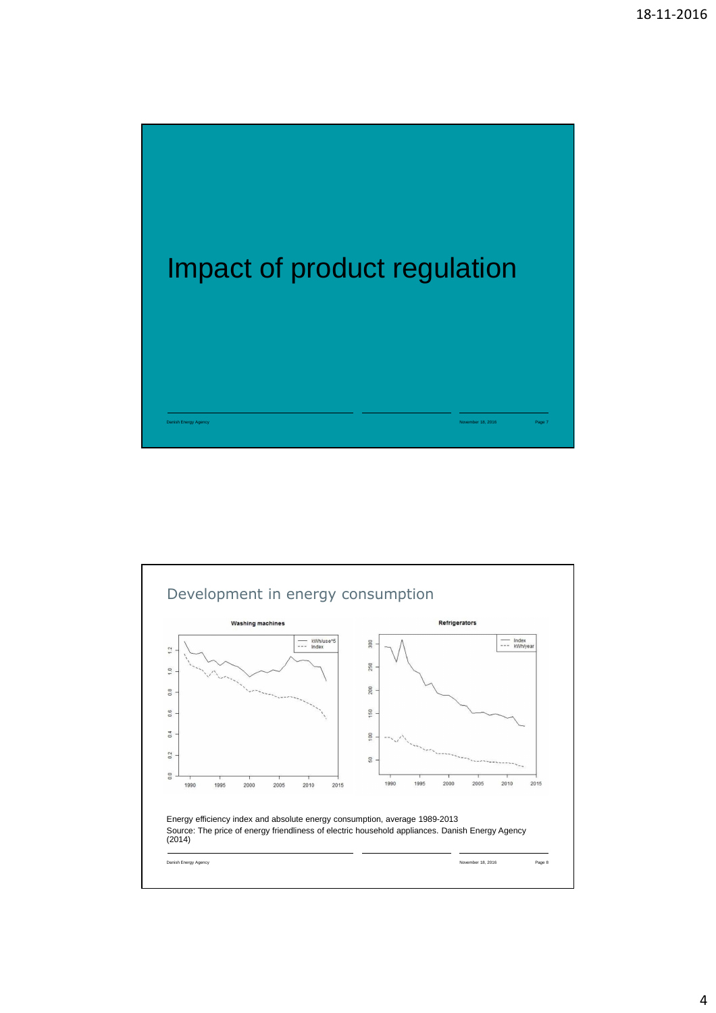

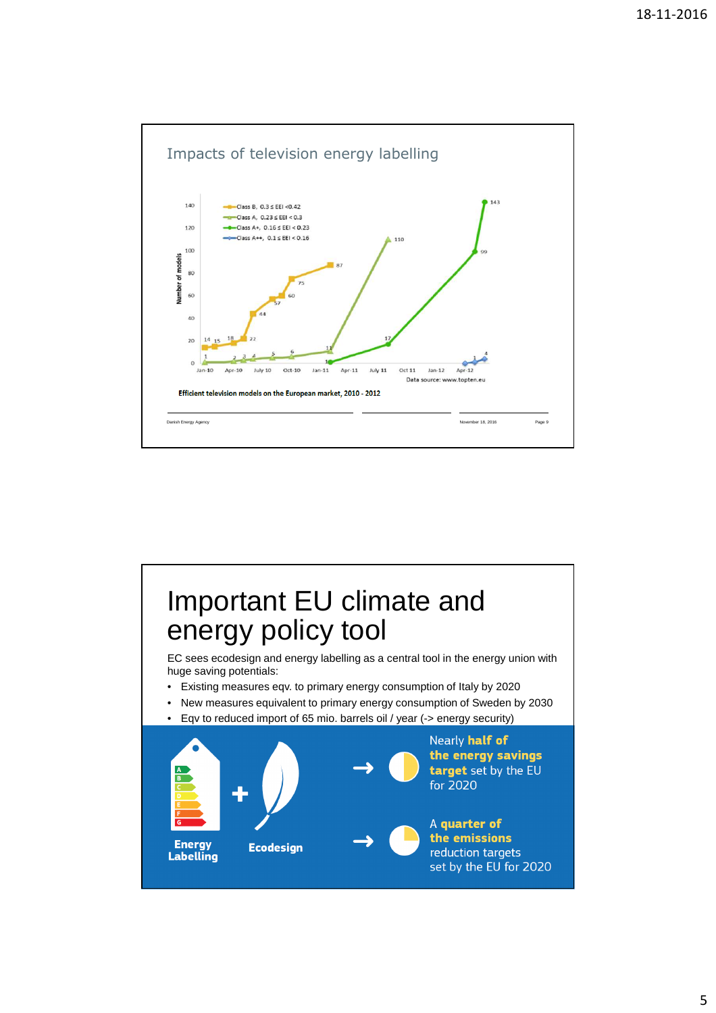

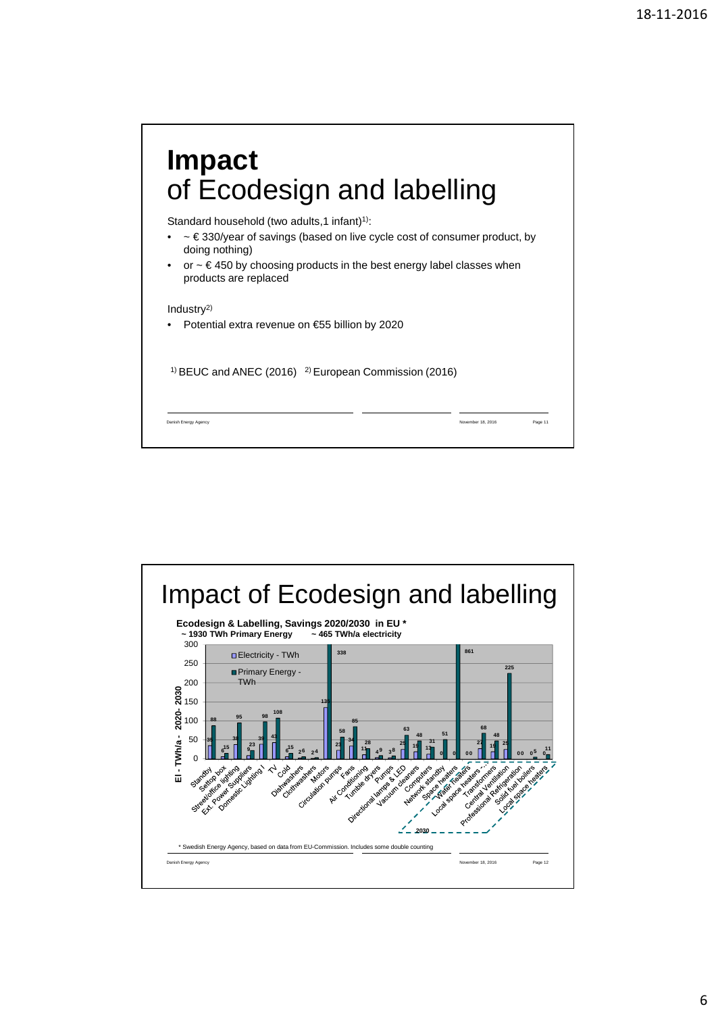

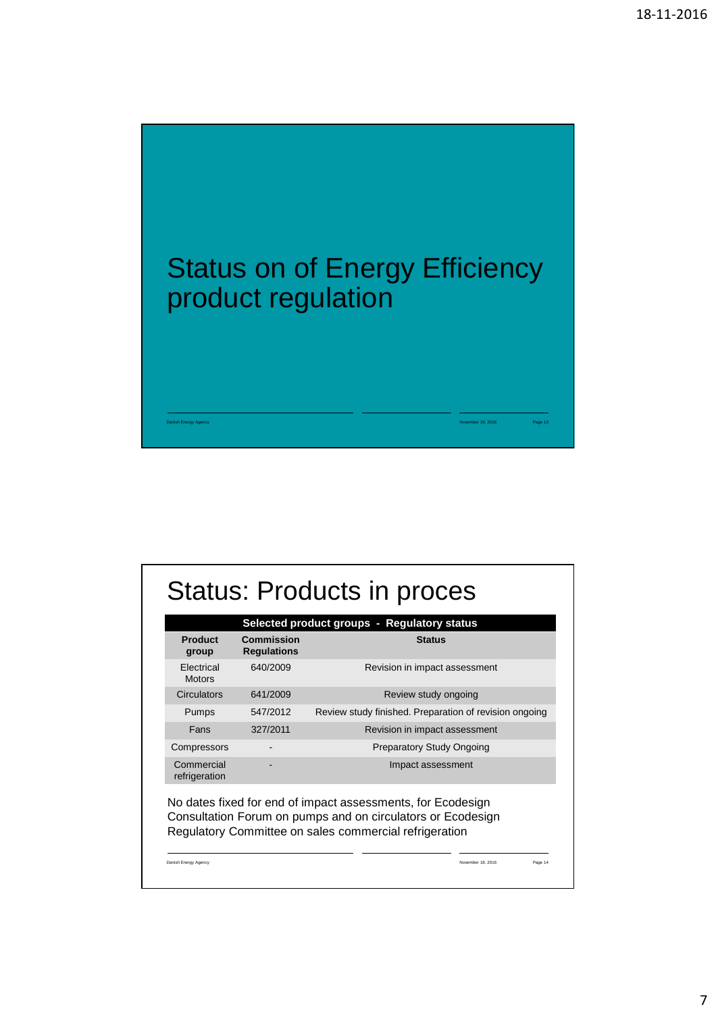

| Product<br>group                   | Commission<br><b>Regulations</b> | Selected product groups - Regulatory status<br><b>Status</b>                                                                                                                         |
|------------------------------------|----------------------------------|--------------------------------------------------------------------------------------------------------------------------------------------------------------------------------------|
| <b>Flectrical</b><br><b>Motors</b> | 640/2009                         | Revision in impact assessment                                                                                                                                                        |
| Circulators                        | 641/2009                         | Review study ongoing                                                                                                                                                                 |
| Pumps                              | 547/2012                         | Review study finished. Preparation of revision ongoing                                                                                                                               |
| Fans                               | 327/2011                         | Revision in impact assessment                                                                                                                                                        |
| Compressors                        |                                  | <b>Preparatory Study Ongoing</b>                                                                                                                                                     |
| Commercial<br>refrigeration        |                                  | Impact assessment                                                                                                                                                                    |
|                                    |                                  | No dates fixed for end of impact assessments, for Ecodesign<br>Consultation Forum on pumps and on circulators or Ecodesign<br>Regulatory Committee on sales commercial refrigeration |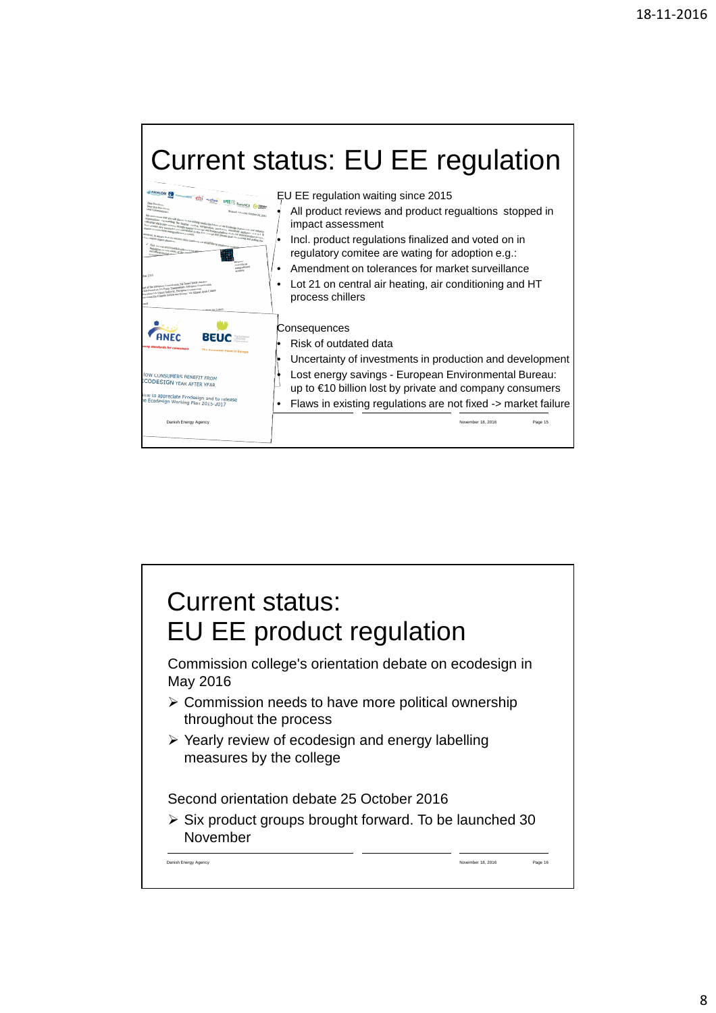

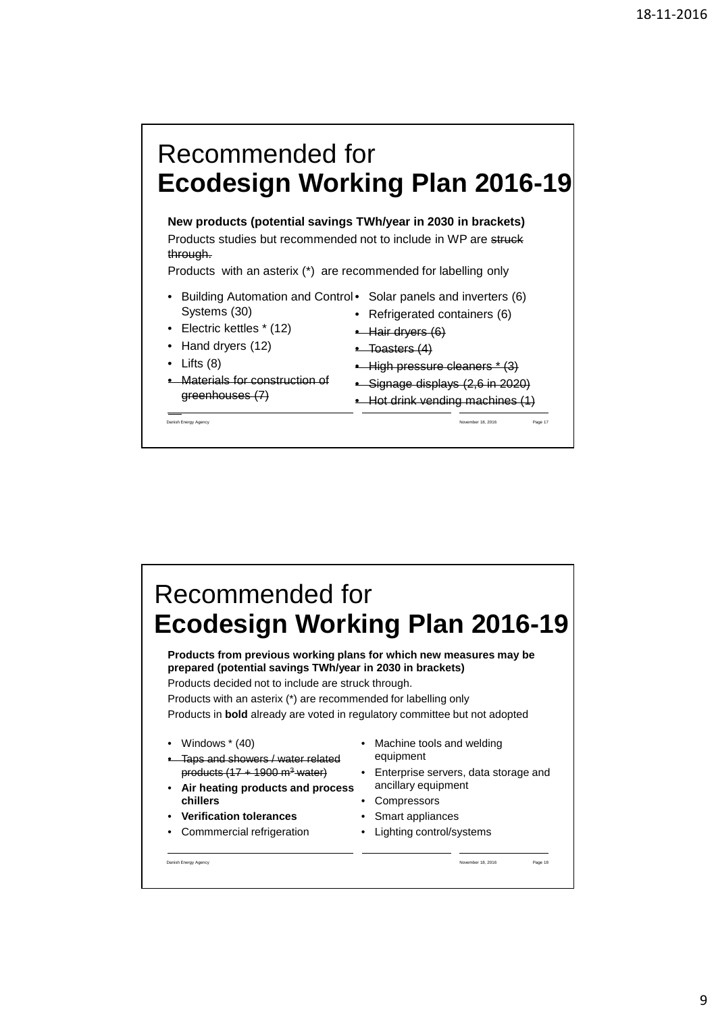

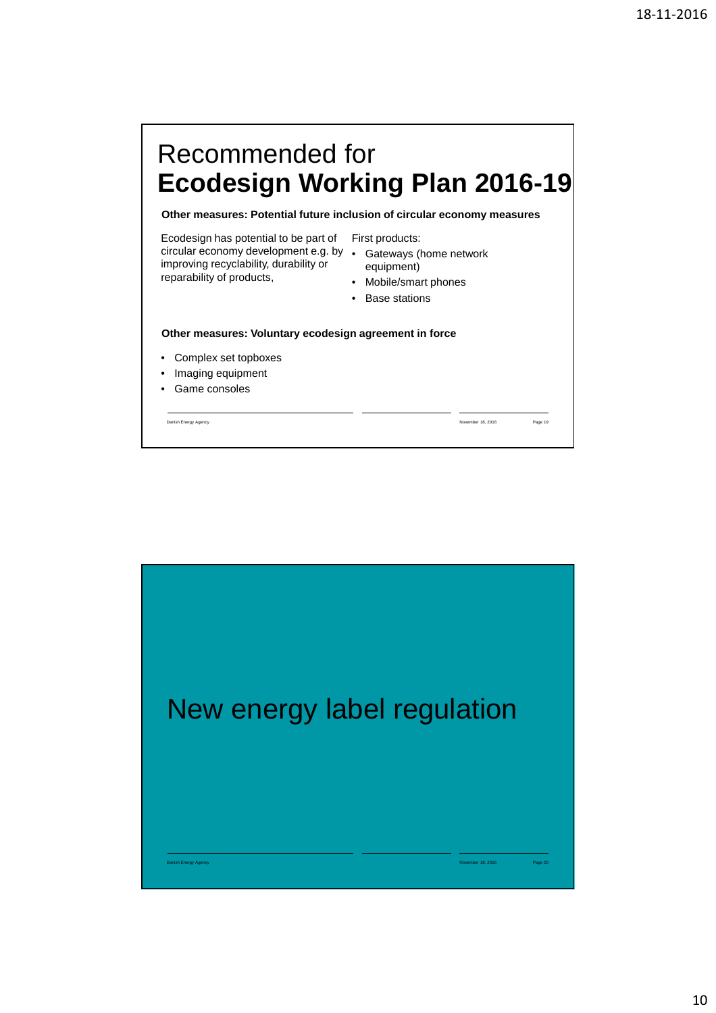# Recommended for **Ecodesign Working Plan 2016-19**

**Other measures: Potential future inclusion of circular economy measures**

Ecodesign has potential to be part of First products: circular economy development e.g. by • Gateways (home network improving recyclability, durability or reparability of products,

- 
- equipment)
- Mobile/smart phones
- Base stations

#### **Other measures: Voluntary ecodesign agreement in force**

- Complex set topboxes
- Imaging equipment
- Game consoles

Danish Energy Agency November 18, 2016 Page 19

New energy label regulation Danish Energy Agency November 18, 2016 Page 20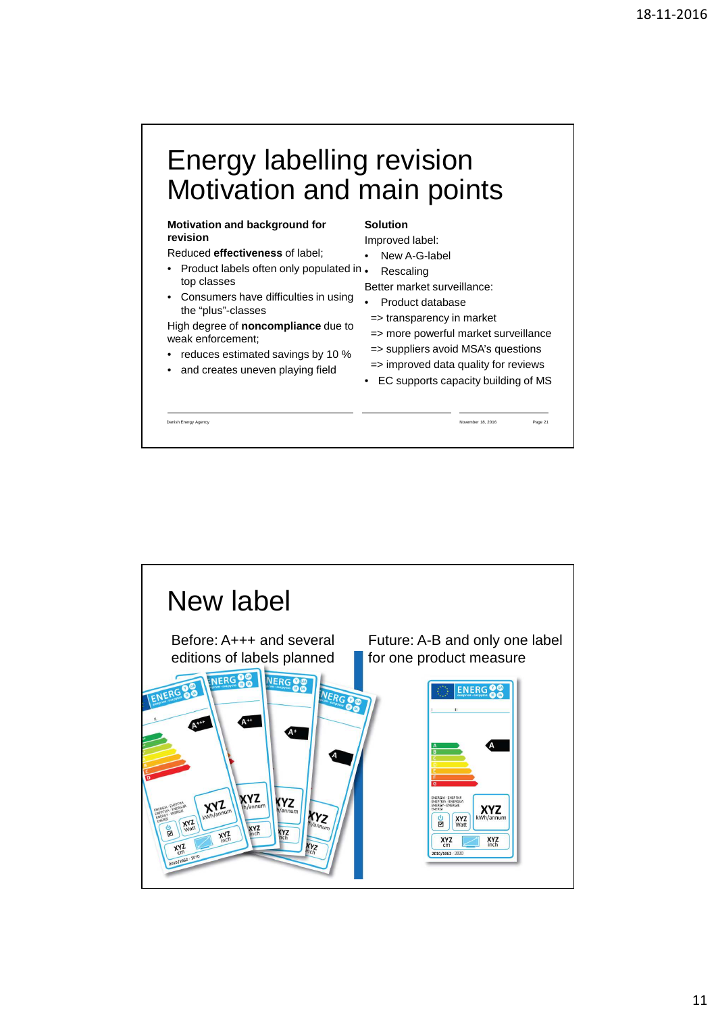### Energy labelling revision Motivation and main points

#### **Motivation and background for revision**

Reduced **effectiveness** of label;

- Product labels often only populated in . top classes
- Consumers have difficulties in using the "plus"-classes

High degree of **noncompliance** due to weak enforcement;

- reduces estimated savings by 10 %
- and creates uneven playing field

### **Solution**

Improved label:

- New A-G-label
- **Rescaling**

Better market surveillance:

- Product database
	- => transparency in market
- => more powerful market surveillance => suppliers avoid MSA's questions
- => improved data quality for reviews
	- EC supports capacity building of MS

Danish Energy Agency November 18, 2016 Page 21

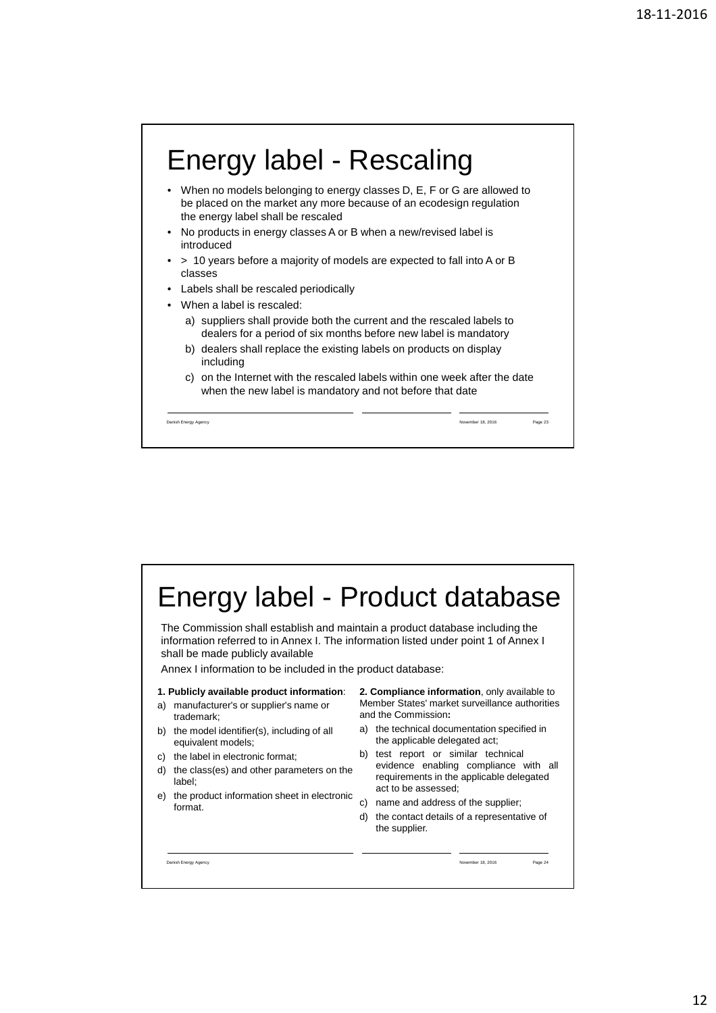



12